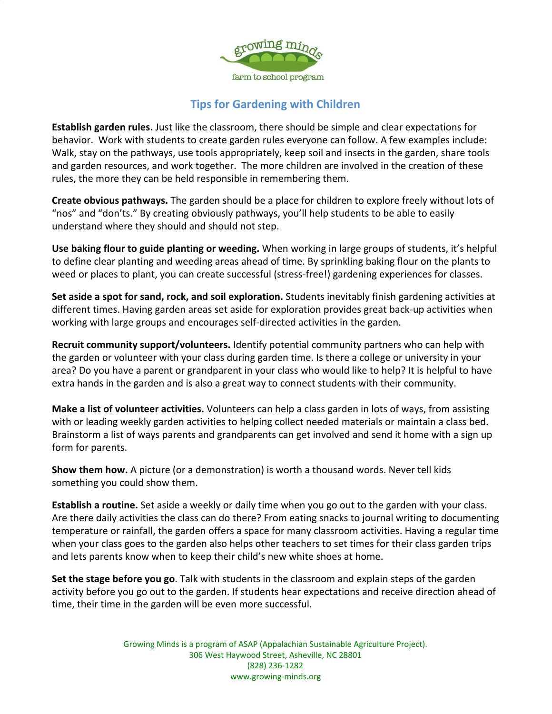

## **Tips for Gardening with Children**

**Establish garden rules.** Just like the classroom, there should be simple and clear expectations for behavior. Work with students to create garden rules everyone can follow. A few examples include: Walk, stay on the pathways, use tools appropriately, keep soil and insects in the garden, share tools and garden resources, and work together. The more children are involved in the creation of these rules, the more they can be held responsible in remembering them.

**Create obvious pathways.** The garden should be a place for children to explore freely without lots of "nos" and "don'ts." By creating obviously pathways, you'll help students to be able to easily understand where they should and should not step.

**Use baking flour to guide planting or weeding.** When working in large groups of students, it's helpful to define clear planting and weeding areas ahead of time. By sprinkling baking flour on the plants to weed or places to plant, you can create successful (stress-free!) gardening experiences for classes.

**Set aside a spot for sand, rock, and soil exploration.** Students inevitably finish gardening activities at different times. Having garden areas set aside for exploration provides great back-up activities when working with large groups and encourages self-directed activities in the garden.

**Recruit community support/volunteers.** Identify potential community partners who can help with the garden or volunteer with your class during garden time. Is there a college or university in your area? Do you have a parent or grandparent in your class who would like to help? It is helpful to have extra hands in the garden and is also a great way to connect students with their community.

**Make a list of volunteer activities.** Volunteers can help a class garden in lots of ways, from assisting with or leading weekly garden activities to helping collect needed materials or maintain a class bed. Brainstorm a list of ways parents and grandparents can get involved and send it home with a sign up form for parents.

**Show them how.** A picture (or a demonstration) is worth a thousand words. Never tell kids something you could show them.

**Establish a routine.** Set aside a weekly or daily time when you go out to the garden with your class. Are there daily activities the class can do there? From eating snacks to journal writing to documenting temperature or rainfall, the garden offers a space for many classroom activities. Having a regular time when your class goes to the garden also helps other teachers to set times for their class garden trips and lets parents know when to keep their child's new white shoes at home.

**Set the stage before you go**. Talk with students in the classroom and explain steps of the garden activity before you go out to the garden. If students hear expectations and receive direction ahead of time, their time in the garden will be even more successful.

> Growing Minds is a program of ASAP (Appalachian Sustainable Agriculture Project). 306 West Haywood Street, Asheville, NC 28801 (828) 236-1282 www.growing-minds.org